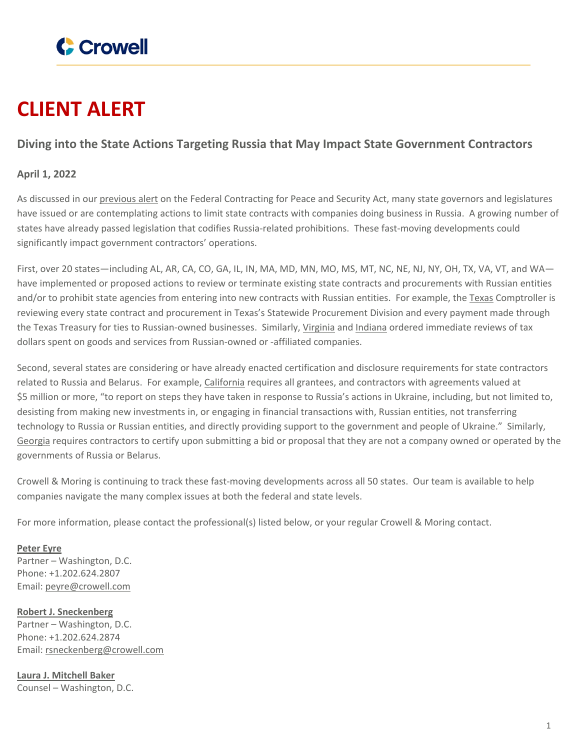

## **CLIENT ALERT**

## **Diving into the State Actions Targeting Russia that May Impact State Government Contractors**

## **April 1, 2022**

As discussed in our [previous](https://www.crowell.com/NewsEvents/AlertsNewsletters/all/Federal-Government-and-States-Consider-Banning-US-Government-Contracts-with-Companies-Doing-Business-in-Russia) alert on the Federal Contracting for Peace and Security Act, many state governors and legislatures have issued or are contemplating actions to limit state contracts with companies doing business in Russia. A growing number of states have already passed legislation that codifies Russia-related prohibitions. These fast-moving developments could significantly impact government contractors' operations.

First, over 20 states—including AL, AR, CA, CO, GA, IL, IN, MA, MD, MN, MO, MS, MT, NC, NE, NJ, NY, OH, TX, VA, VT, and WA have implemented or proposed actions to review or terminate existing state contracts and procurements with Russian entities and/or to prohibit state agencies from entering into new contracts with Russian entities. For example, the [Texas](https://comptroller.texas.gov/about/media-center/news/20220302-texas-comptroller-glenn-hegars-statement-on-potential-russia-divestments-1646259555697) Comptroller is reviewing every state contract and procurement in Texas's Statewide Procurement Division and every payment made through the Texas Treasury for ties to Russian-owned businesses. Similarly, [Virginia](https://www.governor.virginia.gov/newsroom/news-releases/2022/february/name-929561-en.html) and [Indiana](https://www.in.gov/gov/files/Executive-Order-22-08.pdf) ordered immediate reviews of tax dollars spent on goods and services from Russian-owned or -affiliated companies.

Second, several states are considering or have already enacted certification and disclosure requirements for state contractors related to Russia and Belarus. For example, [California](https://www.gov.ca.gov/wp-content/uploads/2022/03/3.4.22-Russia-Ukraine-Executive-Order.pdf) requires all grantees, and contractors with agreements valued at \$5 million or more, "to report on steps they have taken in response to Russia's actions in Ukraine, including, but not limited to, desisting from making new investments in, or engaging in financial transactions with, Russian entities, not transferring technology to Russia or Russian entities, and directly providing support to the government and people of Ukraine." Similarly, [Georgia](https://www.legis.ga.gov/api/legislation/document/20212022/210879) requires contractors to certify upon submitting a bid or proposal that they are not a company owned or operated by the governments of Russia or Belarus.

Crowell & Moring is continuing to track these fast-moving developments across all 50 states. Our team is available to help companies navigate the many complex issues at both the federal and state levels.

For more information, please contact the professional(s) listed below, or your regular Crowell & Moring contact.

**[Peter](https://www.crowell.com/professionals/Peter-Eyre) Eyre** Partner – Washington, D.C. Phone: +1.202.624.2807 Email: [peyre@crowell.com](mailto:peyre@crowell.com)

**Robert J. [Sneckenberg](https://www.crowell.com/professionals/Robert-Sneckenberg)** Partner – Washington, D.C. Phone: +1.202.624.2874 Email: [rsneckenberg@crowell.com](mailto:rsneckenberg@crowell.com)

**Laura J. [Mitchell](https://www.crowell.com/professionals/Laura-J-Mitchell-Baker) Baker** Counsel – Washington, D.C.